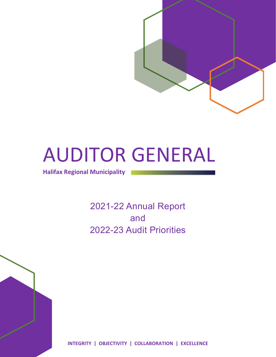

# AUDITOR GENERAL

**Halifax Regional Municipality**

2021-22 Annual Report and 2022-23 Audit Priorities



**INTEGRITY | OBJECTIVITY | COLLABORATION | EXCELLENCE**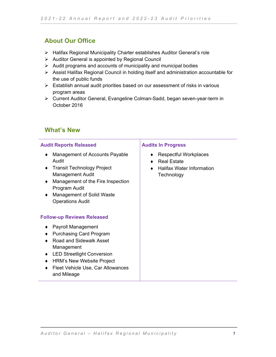## **About Our Office**

- Halifax Regional Municipality Charter establishes Auditor General's role
- $\triangleright$  Auditor General is appointed by Regional Council
- $\triangleright$  Audit programs and accounts of municipality and municipal bodies
- Assist Halifax Regional Council in holding itself and administration accountable for the use of public funds
- $\triangleright$  Establish annual audit priorities based on our assessment of risks in various program areas
- Current Auditor General, Evangeline Colman-Sadd, began seven-year-term in October 2016

### **What's New**

#### **Audit Reports Released**

- ♦ Management of Accounts Payable Audit
- ♦ Transit Technology Project Management Audit
- ♦ Management of the Fire Inspection Program Audit
- ♦ Management of Solid Waste Operations Audit

#### **Follow-up Reviews Released**

- ♦ Payroll Management
- ♦ Purchasing Card Program
- ♦ Road and Sidewalk Asset Management
- ♦ LED Streetlight Conversion
- ♦ HRM's New Website Project
- ♦ Fleet Vehicle Use, Car Allowances and Mileage

#### **Audits In Progress**

- ♦ Respectful Workplaces
- ♦ Real Estate
- ♦ Halifax Water Information **Technology**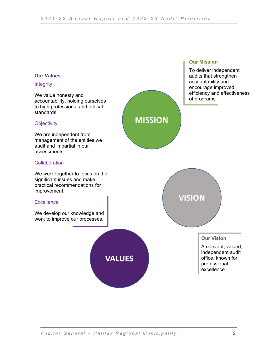**MISSION**



#### **Integrity**

We value honesty and accountability, holding ourselves to high professional and ethical standards.

#### **Objectivity**

We are independent from management of the entities we audit and impartial in our assessments.

#### **Collaboration**

We work together to focus on the significant issues and make practical recommendations for improvement.

#### **Excellence**

We develop our knowledge and work to improve our processes.



#### **Our Mission**

To deliver independent audits that strengthen accountability and encourage improved efficiency and effectiveness of programs



#### **Our Vision**

A relevant, valued, independent audit office, known for professional excellence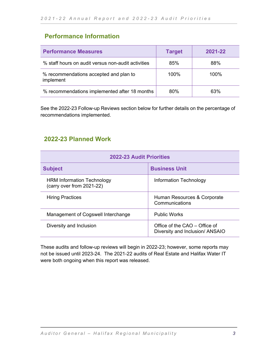## **Performance Information**

| <b>Performance Measures</b>                         | <b>Target</b> | 2021-22 |
|-----------------------------------------------------|---------------|---------|
| % staff hours on audit versus non-audit activities  | 85%           | 88%     |
| % recommendations accepted and plan to<br>implement | 100%          | $100\%$ |
| % recommendations implemented after 18 months       | 80%           | 63%     |

See the 2022-23 Follow-up Reviews section below for further details on the percentage of recommendations implemented.

## **2022-23 Planned Work**

| <b>2022-23 Audit Priorities</b>                                |                                                                  |  |  |
|----------------------------------------------------------------|------------------------------------------------------------------|--|--|
| <b>Subject</b>                                                 | <b>Business Unit</b>                                             |  |  |
| <b>HRM Information Technology</b><br>(carry over from 2021-22) | Information Technology                                           |  |  |
| <b>Hiring Practices</b>                                        | Human Resources & Corporate<br>Communications                    |  |  |
| Management of Cogswell Interchange                             | <b>Public Works</b>                                              |  |  |
| Diversity and Inclusion                                        | Office of the CAO - Office of<br>Diversity and Inclusion/ ANSAIO |  |  |

These audits and follow-up reviews will begin in 2022-23; however, some reports may not be issued until 2023-24. The 2021-22 audits of Real Estate and Halifax Water IT were both ongoing when this report was released.